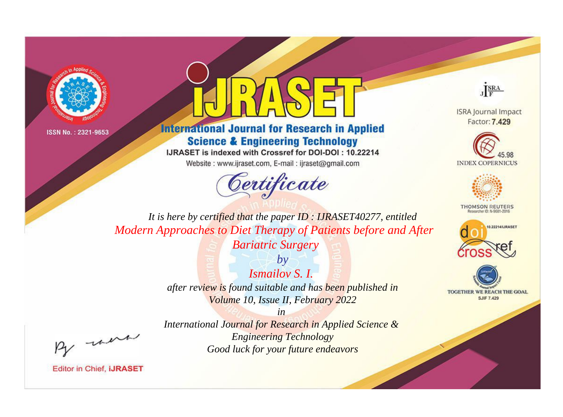



**International Journal for Research in Applied Science & Engineering Technology** 

IJRASET is indexed with Crossref for DOI-DOI: 10.22214

Website: www.ijraset.com, E-mail: ijraset@gmail.com



JERA

**ISRA Journal Impact** Factor: 7.429





**THOMSON REUTERS** 



TOGETHER WE REACH THE GOAL **SJIF 7.429** 

It is here by certified that the paper ID: IJRASET40277, entitled Modern Approaches to Diet Therapy of Patients before and After **Bariatric Surgery** 

> $b\nu$  $I$ smailov S.  $I$ . after review is found suitable and has been published in Volume 10, Issue II, February 2022

> > $in$

were

International Journal for Research in Applied Science & **Engineering Technology** Good luck for your future endeavors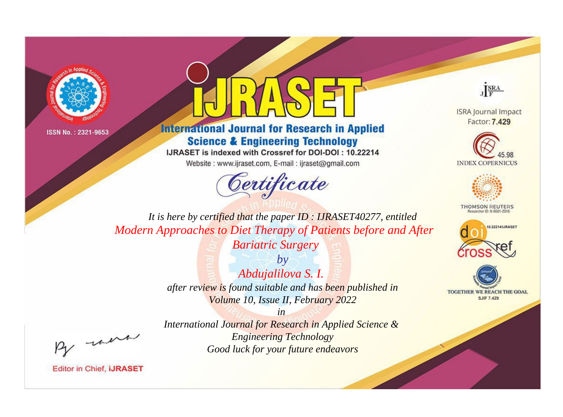



**International Journal for Research in Applied Science & Engineering Technology** 

IJRASET is indexed with Crossref for DOI-DOI: 10.22214

Website: www.ijraset.com, E-mail: ijraset@gmail.com



JERA

**ISRA Journal Impact** Factor: 7.429





**THOMSON REUTERS** 



TOGETHER WE REACH THE GOAL **SJIF 7.429** 

It is here by certified that the paper ID: IJRASET40277, entitled Modern Approaches to Diet Therapy of Patients before and After **Bariatric Surgery** 

> $by$ Abdujalilova S. I. after review is found suitable and has been published in Volume 10, Issue II, February 2022

were

International Journal for Research in Applied Science & **Engineering Technology** Good luck for your future endeavors

 $in$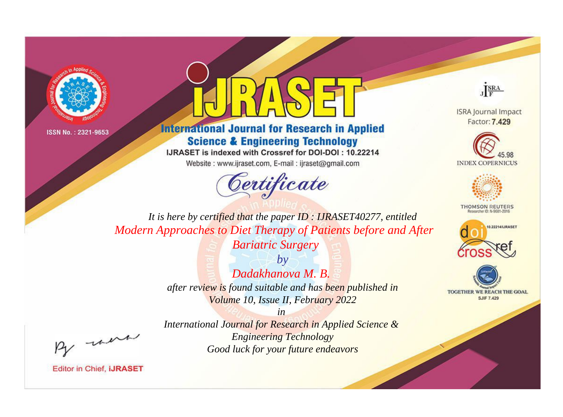



**International Journal for Research in Applied Science & Engineering Technology** 

IJRASET is indexed with Crossref for DOI-DOI: 10.22214

Website: www.ijraset.com, E-mail: ijraset@gmail.com



JERA

**ISRA Journal Impact** Factor: 7.429





**THOMSON REUTERS** 



TOGETHER WE REACH THE GOAL **SJIF 7.429** 

It is here by certified that the paper ID: IJRASET40277, entitled Modern Approaches to Diet Therapy of Patients before and After **Bariatric Surgery** 

> $b\nu$ Dadakhanova M. B. after review is found suitable and has been published in Volume 10, Issue II, February 2022

were

International Journal for Research in Applied Science & **Engineering Technology** Good luck for your future endeavors

 $in$